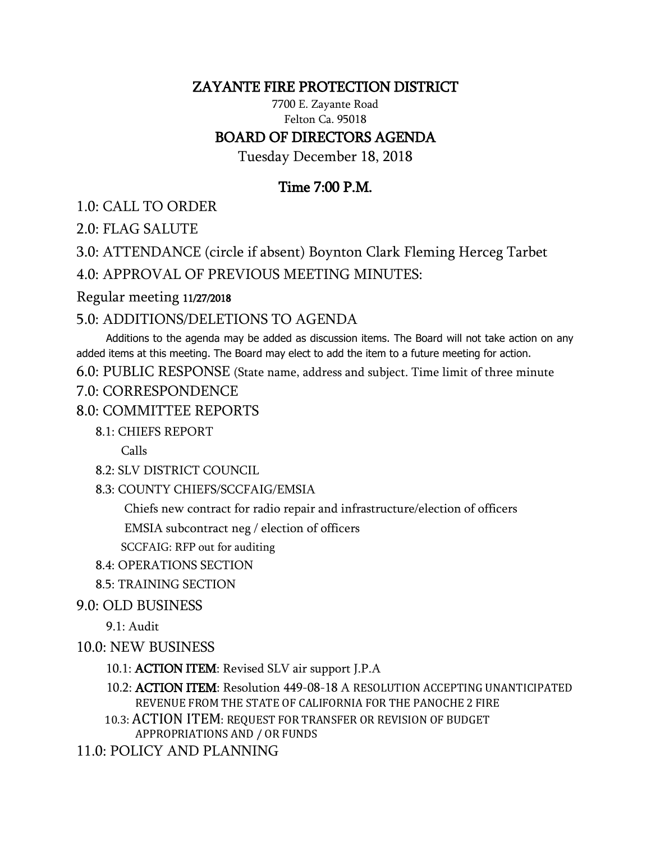## ZAYANTE FIRE PROTECTION DISTRICT

7700 E. Zayante Road Felton Ca. 95018

### BOARD OF DIRECTORS AGENDA

Tuesday December 18, 2018

# Time 7:00 P.M.

1.0: CALL TO ORDER

2.0: FLAG SALUTE

3.0: ATTENDANCE (circle if absent) Boynton Clark Fleming Herceg Tarbet

4.0: APPROVAL OF PREVIOUS MEETING MINUTES:

#### Regular meeting 11/27/2018

## 5.0: ADDITIONS/DELETIONS TO AGENDA

 Additions to the agenda may be added as discussion items. The Board will not take action on any added items at this meeting. The Board may elect to add the item to a future meeting for action.

6.0: PUBLIC RESPONSE (State name, address and subject. Time limit of three minute

### 7.0: CORRESPONDENCE

## 8.0: COMMITTEE REPORTS

### 8.1: CHIEFS REPORT

Calls

8.2: SLV DISTRICT COUNCIL

8.3: COUNTY CHIEFS/SCCFAIG/EMSIA

Chiefs new contract for radio repair and infrastructure/election of officers

EMSIA subcontract neg / election of officers

SCCFAIG: RFP out for auditing

- 8.4: OPERATIONS SECTION
- 8.5: TRAINING SECTION

### 9.0: OLD BUSINESS

9.1: Audit

### 10.0: NEW BUSINESS

- 10.1: ACTION ITEM: Revised SLV air support J.P.A
- 10.2: ACTION ITEM: Resolution 449-08-18 A RESOLUTION ACCEPTING UNANTICIPATED REVENUE FROM THE STATE OF CALIFORNIA FOR THE PANOCHE 2 FIRE
- 10.3: ACTION ITEM: REQUEST FOR TRANSFER OR REVISION OF BUDGET APPROPRIATIONS AND / OR FUNDS

11.0: POLICY AND PLANNING